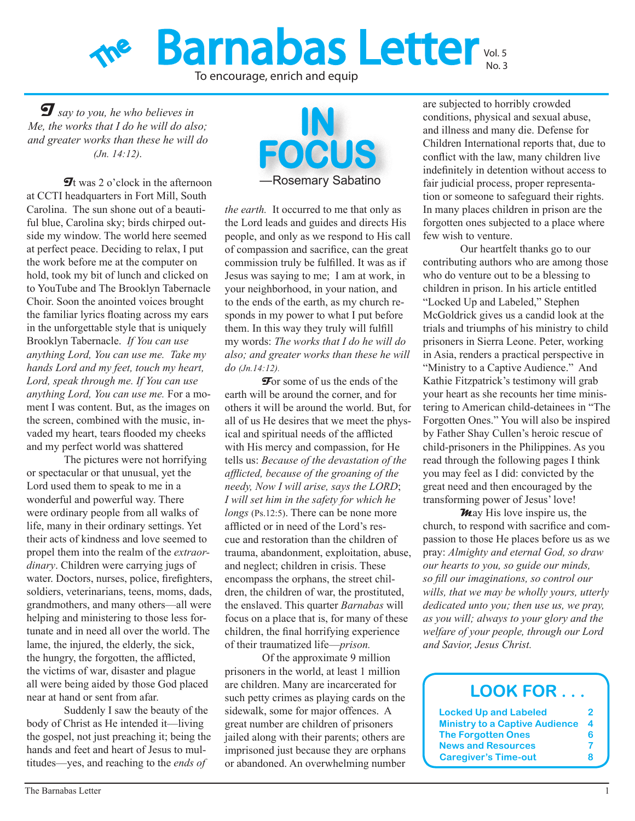

To encourage, enrich and equip

**I** *say to you, he who believes in Me, the works that I do he will do also; and greater works than these he will do (Jn. 14:12).*

at CCTI headquarters in Fort Mill, South Carolina. The sun shone out of a beautiful blue, Carolina sky; birds chirped outside my window. The world here seemed at perfect peace. Deciding to relax, I put the work before me at the computer on hold, took my bit of lunch and clicked on to YouTube and The Brooklyn Tabernacle Choir. Soon the anointed voices brought the familiar lyrics floating across my ears in the unforgettable style that is uniquely Brooklyn Tabernacle. *If You can use anything Lord, You can use me. Take my hands Lord and my feet, touch my heart, Lord, speak through me. If You can use anything Lord, You can use me.* For a moment I was content. But, as the images on the screen, combined with the music, invaded my heart, tears flooded my cheeks and my perfect world was shattered

The pictures were not horrifying or spectacular or that unusual, yet the Lord used them to speak to me in a wonderful and powerful way. There were ordinary people from all walks of life, many in their ordinary settings. Yet their acts of kindness and love seemed to propel them into the realm of the *extraordinary*. Children were carrying jugs of water. Doctors, nurses, police, firefighters, soldiers, veterinarians, teens, moms, dads, grandmothers, and many others—all were helping and ministering to those less fortunate and in need all over the world. The lame, the injured, the elderly, the sick, the hungry, the forgotten, the afflicted, the victims of war, disaster and plague all were being aided by those God placed near at hand or sent from afar.

Suddenly I saw the beauty of the body of Christ as He intended it—living the gospel, not just preaching it; being the hands and feet and heart of Jesus to multitudes—yes, and reaching to the *ends of* 



*the earth.* It occurred to me that only as the Lord leads and guides and directs His people, and only as we respond to His call of compassion and sacrifice, can the great commission truly be fulfilled. It was as if Jesus was saying to me; I am at work, in your neighborhood, in your nation, and to the ends of the earth, as my church responds in my power to what I put before them. In this way they truly will fulfill my words: *The works that I do he will do also; and greater works than these he will do (Jn.14:12).*

**F**or some of us the ends of the earth will be around the corner, and for others it will be around the world. But, for all of us He desires that we meet the physical and spiritual needs of the afflicted with His mercy and compassion, for He tells us: *Because of the devastation of the afflicted, because of the groaning of the needy, Now I will arise, says the LORD*; *I will set him in the safety for which he longs* (Ps.12:5). There can be none more afflicted or in need of the Lord's rescue and restoration than the children of trauma, abandonment, exploitation, abuse, and neglect; children in crisis. These encompass the orphans, the street children, the children of war, the prostituted, the enslaved. This quarter *Barnabas* will focus on a place that is, for many of these children, the final horrifying experience of their traumatized life—*prison.*

Of the approximate 9 million prisoners in the world, at least 1 million are children. Many are incarcerated for such petty crimes as playing cards on the sidewalk, some for major offences. A great number are children of prisoners jailed along with their parents; others are imprisoned just because they are orphans or abandoned. An overwhelming number

are subjected to horribly crowded conditions, physical and sexual abuse, and illness and many die. Defense for Children International reports that, due to conflict with the law, many children live indefinitely in detention without access to fair judicial process, proper representation or someone to safeguard their rights. In many places children in prison are the forgotten ones subjected to a place where few wish to venture.

Our heartfelt thanks go to our contributing authors who are among those who do venture out to be a blessing to children in prison. In his article entitled "Locked Up and Labeled," Stephen McGoldrick gives us a candid look at the trials and triumphs of his ministry to child prisoners in Sierra Leone. Peter, working in Asia, renders a practical perspective in "Ministry to a Captive Audience." And Kathie Fitzpatrick's testimony will grab your heart as she recounts her time ministering to American child-detainees in "The Forgotten Ones." You will also be inspired by Father Shay Cullen's heroic rescue of child-prisoners in the Philippines. As you read through the following pages I think you may feel as I did: convicted by the great need and then encouraged by the transforming power of Jesus' love!

**M**ay His love inspire us, the church, to respond with sacrifice and compassion to those He places before us as we pray: *Almighty and eternal God, so draw our hearts to you, so guide our minds, so fill our imaginations, so control our wills, that we may be wholly yours, utterly dedicated unto you; then use us, we pray, as you will; always to your glory and the welfare of your people, through our Lord and Savior, Jesus Christ.*

#### **LOOK FOR . . . Locked Up and Labeled 2 Ministry to a Captive Audience 4 The Forgotten Ones 6 News and Resources 7 Caregiver's Time-out 8**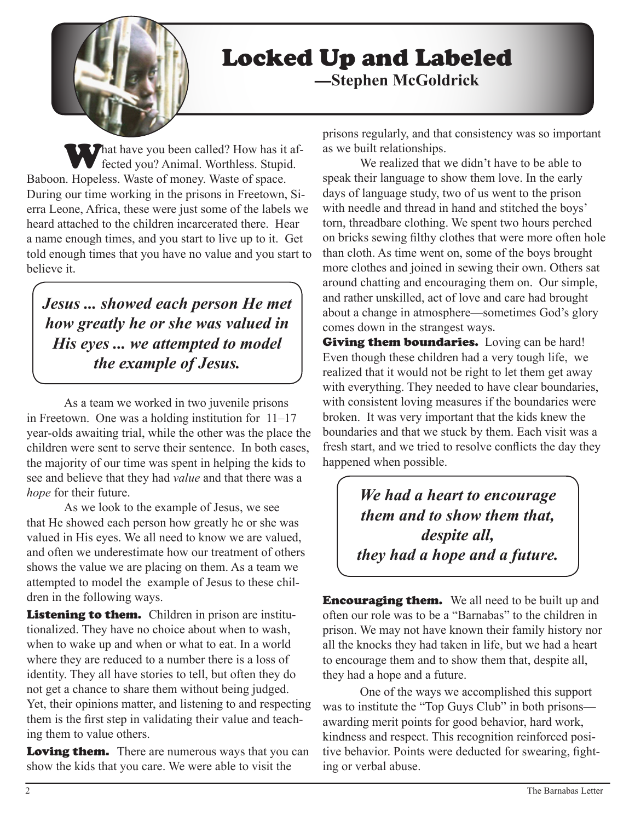

# Locked Up and Labeled —**Stephen McGoldrick**

What have you been called? How has it affected you? Animal. Worthless. Stupid. Baboon. Hopeless. Waste of money. Waste of space. During our time working in the prisons in Freetown, Sierra Leone, Africa, these were just some of the labels we heard attached to the children incarcerated there. Hear a name enough times, and you start to live up to it. Get told enough times that you have no value and you start to believe it.

*Jesus ... showed each person He met how greatly he or she was valued in His eyes ... we attempted to model the example of Jesus.*

As a team we worked in two juvenile prisons in Freetown. One was a holding institution for 11–17 year-olds awaiting trial, while the other was the place the children were sent to serve their sentence. In both cases, the majority of our time was spent in helping the kids to see and believe that they had *value* and that there was a *hope* for their future.

As we look to the example of Jesus, we see that He showed each person how greatly he or she was valued in His eyes. We all need to know we are valued, and often we underestimate how our treatment of others shows the value we are placing on them. As a team we attempted to model the example of Jesus to these children in the following ways.

Listening to them. Children in prison are institutionalized. They have no choice about when to wash, when to wake up and when or what to eat. In a world where they are reduced to a number there is a loss of identity. They all have stories to tell, but often they do not get a chance to share them without being judged. Yet, their opinions matter, and listening to and respecting them is the first step in validating their value and teaching them to value others.

**Loving them.** There are numerous ways that you can show the kids that you care. We were able to visit the

prisons regularly, and that consistency was so important as we built relationships.

We realized that we didn't have to be able to speak their language to show them love. In the early days of language study, two of us went to the prison with needle and thread in hand and stitched the boys' torn, threadbare clothing. We spent two hours perched on bricks sewing filthy clothes that were more often hole than cloth. As time went on, some of the boys brought more clothes and joined in sewing their own. Others sat around chatting and encouraging them on. Our simple, and rather unskilled, act of love and care had brought about a change in atmosphere—sometimes God's glory comes down in the strangest ways.

**Giving them boundaries.** Loving can be hard! Even though these children had a very tough life, we realized that it would not be right to let them get away with everything. They needed to have clear boundaries, with consistent loving measures if the boundaries were broken. It was very important that the kids knew the boundaries and that we stuck by them. Each visit was a fresh start, and we tried to resolve conflicts the day they happened when possible.

> *We had a heart to encourage them and to show them that, despite all, they had a hope and a future.*

**Encouraging them.** We all need to be built up and often our role was to be a "Barnabas" to the children in prison. We may not have known their family history nor all the knocks they had taken in life, but we had a heart to encourage them and to show them that, despite all, they had a hope and a future.

One of the ways we accomplished this support was to institute the "Top Guys Club" in both prisons awarding merit points for good behavior, hard work, kindness and respect. This recognition reinforced positive behavior. Points were deducted for swearing, fighting or verbal abuse.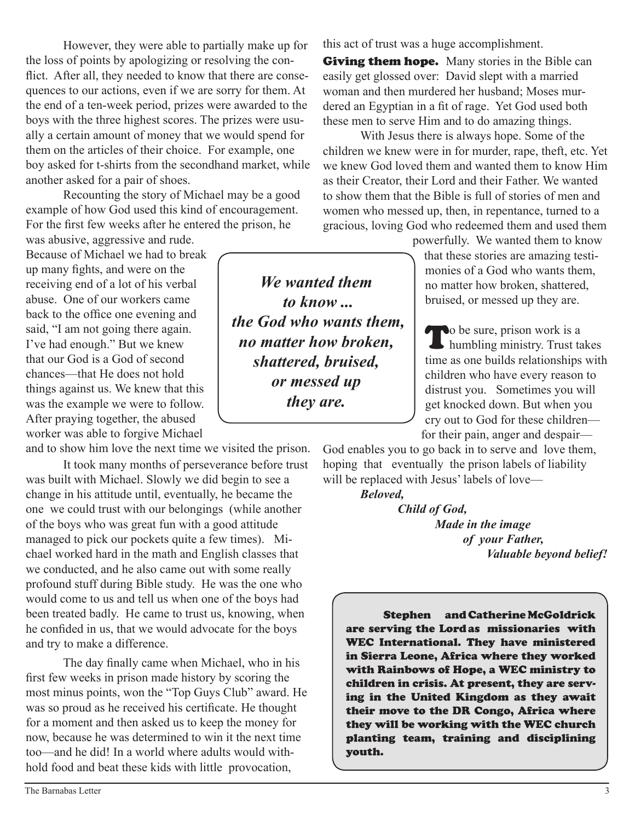However, they were able to partially make up for the loss of points by apologizing or resolving the conflict. After all, they needed to know that there are consequences to our actions, even if we are sorry for them. At the end of a ten-week period, prizes were awarded to the boys with the three highest scores. The prizes were usually a certain amount of money that we would spend for them on the articles of their choice. For example, one boy asked for t-shirts from the secondhand market, while another asked for a pair of shoes.

Recounting the story of Michael may be a good example of how God used this kind of encouragement. For the first few weeks after he entered the prison, he

was abusive, aggressive and rude. Because of Michael we had to break up many fights, and were on the receiving end of a lot of his verbal abuse. One of our workers came back to the office one evening and said, "I am not going there again. I've had enough." But we knew that our God is a God of second chances—that He does not hold things against us. We knew that this was the example we were to follow. After praying together, the abused worker was able to forgive Michael

and to show him love the next time we visited the prison.

It took many months of perseverance before trust was built with Michael. Slowly we did begin to see a change in his attitude until, eventually, he became the one we could trust with our belongings (while another of the boys who was great fun with a good attitude managed to pick our pockets quite a few times). Michael worked hard in the math and English classes that we conducted, and he also came out with some really profound stuff during Bible study. He was the one who would come to us and tell us when one of the boys had been treated badly. He came to trust us, knowing, when he confided in us, that we would advocate for the boys and try to make a difference.

The day finally came when Michael, who in his first few weeks in prison made history by scoring the most minus points, won the "Top Guys Club" award. He was so proud as he received his certificate. He thought for a moment and then asked us to keep the money for now, because he was determined to win it the next time too—and he did! In a world where adults would withhold food and beat these kids with little provocation,

this act of trust was a huge accomplishment.

**Giving them hope.** Many stories in the Bible can easily get glossed over: David slept with a married woman and then murdered her husband; Moses murdered an Egyptian in a fit of rage. Yet God used both these men to serve Him and to do amazing things.

With Jesus there is always hope. Some of the children we knew were in for murder, rape, theft, etc. Yet we knew God loved them and wanted them to know Him as their Creator, their Lord and their Father. We wanted to show them that the Bible is full of stories of men and women who messed up, then, in repentance, turned to a gracious, loving God who redeemed them and used them

powerfully. We wanted them to know that these stories are amazing testimonies of a God who wants them, no matter how broken, shattered, bruised, or messed up they are.

To be sure, prison work is a humbling ministry. Trust takes time as one builds relationships with children who have every reason to distrust you. Sometimes you will get knocked down. But when you cry out to God for these children for their pain, anger and despair—

God enables you to go back in to serve and love them, hoping that eventually the prison labels of liability will be replaced with Jesus' labels of love—

*Beloved,* 

 *Child of God, Made in the image of your Father, Valuable beyond belief!*

Stephen and Catherine McGoldrick are serving the Lord as missionaries with WEC International. They have ministered in Sierra Leone, Africa where they worked with Rainbows of Hope, a WEC ministry to children in crisis. At present, they are serving in the United Kingdom as they await their move to the DR Congo, Africa where they will be working with the WEC church planting team, training and disciplining youth.

*We wanted them to know ... the God who wants them, no matter how broken, shattered, bruised, or messed up they are.*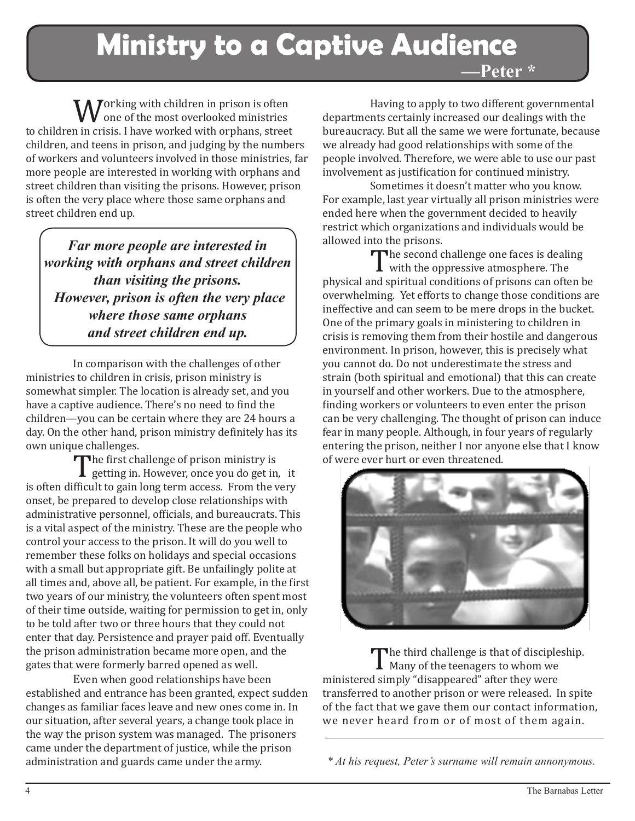**Ministry to a Captive Audience —Peter \***

**W**orking with children in prison is often<br>to children in crisis. I have worked with orphans, street one of the most overlooked ministries children, and teens in prison, and judging by the numbers of workers and volunteers involved in those ministries, far more people are interested in working with orphans and street children than visiting the prisons. However, prison is often the very place where those same orphans and street children end up.

*Far more people are interested in working with orphans and street children than visiting the prisons. However, prison is often the very place where those same orphans and street children end up.*

In comparison with the challenges of other ministries to children in crisis, prison ministry is somewhat simpler. The location is already set, and you have a captive audience. There's no need to find the children—you can be certain where they are 24 hours a day. On the other hand, prison ministry definitely has its own unique challenges.<br>The first challenge of prison ministry is

The first challenge of prison ministry is<br>is often difficult to gain long term access. From the very **I** getting in. However, once you do get in, it onset, be prepared to develop close relationships with administrative personnel, officials, and bureaucrats. This is a vital aspect of the ministry. These are the people who control your access to the prison. It will do you well to remember these folks on holidays and special occasions with a small but appropriate gift. Be unfailingly polite at all times and, above all, be patient. For example, in the first two years of our ministry, the volunteers often spent most of their time outside, waiting for permission to get in, only to be told after two or three hours that they could not enter that day. Persistence and prayer paid off. Eventually the prison administration became more open, and the gates that were formerly barred opened as well.

Even when good relationships have been established and entrance has been granted, expect sudden changes as familiar faces leave and new ones come in. In our situation, after several years, a change took place in the way the prison system was managed. The prisoners came under the department of justice, while the prison administration and guards came under the army.

Having to apply to two different governmental departments certainly increased our dealings with the bureaucracy. But all the same we were fortunate, because we already had good relationships with some of the people involved. Therefore, we were able to use our past involvement as justification for continued ministry.

Sometimes it doesn't matter who you know. For example, last year virtually all prison ministries were ended here when the government decided to heavily restrict which organizations and individuals would be allowed into the prisons.<br>
The second challenge one faces is dealing

The second challenge one faces is dealing<br>with the oppressive atmosphere. The<br>nd spiritual conditions of prisons can often b with the oppressive atmosphere. The physical and spiritual conditions of prisons can often be overwhelming. Yet efforts to change those conditions are ineffective and can seem to be mere drops in the bucket. One of the primary goals in ministering to children in crisis is removing them from their hostile and dangerous environment. In prison, however, this is precisely what you cannot do. Do not underestimate the stress and strain (both spiritual and emotional) that this can create in yourself and other workers. Due to the atmosphere, finding workers or volunteers to even enter the prison can be very challenging. The thought of prison can induce fear in many people. Although, in four years of regularly entering the prison, neither I nor anyone else that I know of were ever hurt or even threatened.



The third challenge is that of discipleship.<br>
Many of the teenagers to whom we<br>
ministered simply "disappeared" after they were Many of the teenagers to whom we transferred to another prison or were released. In spite of the fact that we gave them our contact information, we never heard from or of most of them again.

*\* At his request, Peter's surname will remain annonymous.*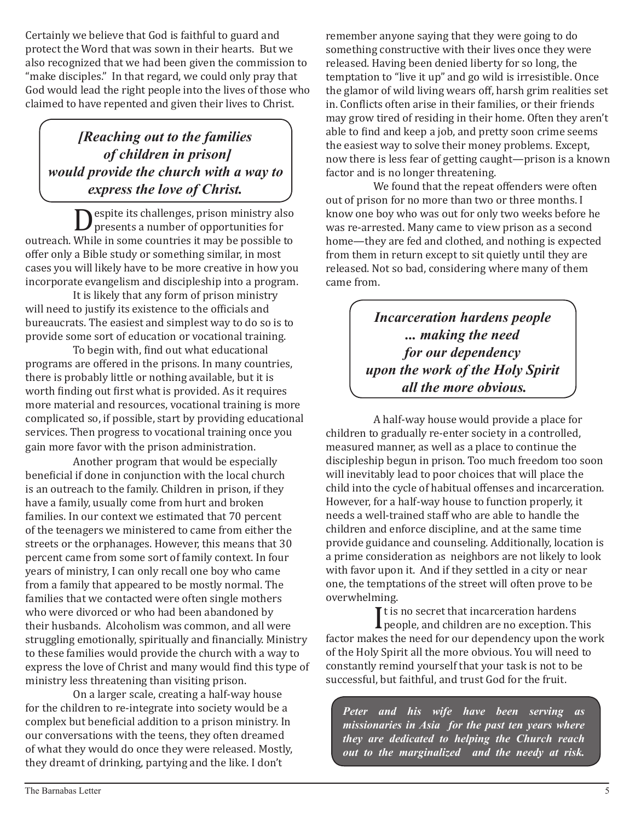Certainly we believe that God is faithful to guard and protect the Word that was sown in their hearts. But we also recognized that we had been given the commission to "make disciples." In that regard, we could only pray that God would lead the right people into the lives of those who claimed to have repented and given their lives to Christ.

## *[Reaching out to the families of children in prison] would provide the church with a way to express the love of Christ.*

espite its challenges, prison ministry also presents a number of opportunities for outreach. While in some countries it may be possible to offer only a Bible study or something similar, in most cases you will likely have to be more creative in how you incorporate evangelism and discipleship into a program.

It is likely that any form of prison ministry will need to justify its existence to the officials and bureaucrats. The easiest and simplest way to do so is to provide some sort of education or vocational training.

To begin with, find out what educational programs are offered in the prisons. In many countries, there is probably little or nothing available, but it is worth finding out first what is provided. As it requires more material and resources, vocational training is more complicated so, if possible, start by providing educational services. Then progress to vocational training once you gain more favor with the prison administration.

Another program that would be especially beneficial if done in conjunction with the local church is an outreach to the family. Children in prison, if they have a family, usually come from hurt and broken families. In our context we estimated that 70 percent of the teenagers we ministered to came from either the streets or the orphanages. However, this means that 30 percent came from some sort of family context. In four years of ministry, I can only recall one boy who came from a family that appeared to be mostly normal. The families that we contacted were often single mothers who were divorced or who had been abandoned by their husbands. Alcoholism was common, and all were struggling emotionally, spiritually and financially. Ministry to these families would provide the church with a way to express the love of Christ and many would find this type of ministry less threatening than visiting prison.

On a larger scale, creating a half-way house for the children to re-integrate into society would be a complex but beneficial addition to a prison ministry. In our conversations with the teens, they often dreamed of what they would do once they were released. Mostly, they dreamt of drinking, partying and the like. I don't

remember anyone saying that they were going to do something constructive with their lives once they were released. Having been denied liberty for so long, the temptation to "live it up" and go wild is irresistible. Once the glamor of wild living wears off, harsh grim realities set in. Conflicts often arise in their families, or their friends may grow tired of residing in their home. Often they aren't able to find and keep a job, and pretty soon crime seems the easiest way to solve their money problems. Except, now there is less fear of getting caught—prison is a known factor and is no longer threatening.

We found that the repeat offenders were often out of prison for no more than two or three months. I know one boy who was out for only two weeks before he was re-arrested. Many came to view prison as a second home—they are fed and clothed, and nothing is expected from them in return except to sit quietly until they are released. Not so bad, considering where many of them came from.

> *Incarceration hardens people ... making the need for our dependency upon the work of the Holy Spirit all the more obvious.*

A half-way house would provide a place for children to gradually re-enter society in a controlled, measured manner, as well as a place to continue the discipleship begun in prison. Too much freedom too soon will inevitably lead to poor choices that will place the child into the cycle of habitual offenses and incarceration. However, for a half-way house to function properly, it needs a well-trained staff who are able to handle the children and enforce discipline, and at the same time provide guidance and counseling. Additionally, location is a prime consideration as neighbors are not likely to look with favor upon it. And if they settled in a city or near one, the temptations of the street will often prove to be overwhelming.

 $\prod_{\mathsf{ke}}$ It is no secret that incarceration hardens people, and children are no exception. This factor makes the need for our dependency upon the work of the Holy Spirit all the more obvious. You will need to constantly remind yourself that your task is not to be successful, but faithful, and trust God for the fruit.

*Peter and his wife have been serving as missionaries in Asia for the past ten years where they are dedicated to helping the Church reach out to the marginalized and the needy at risk.*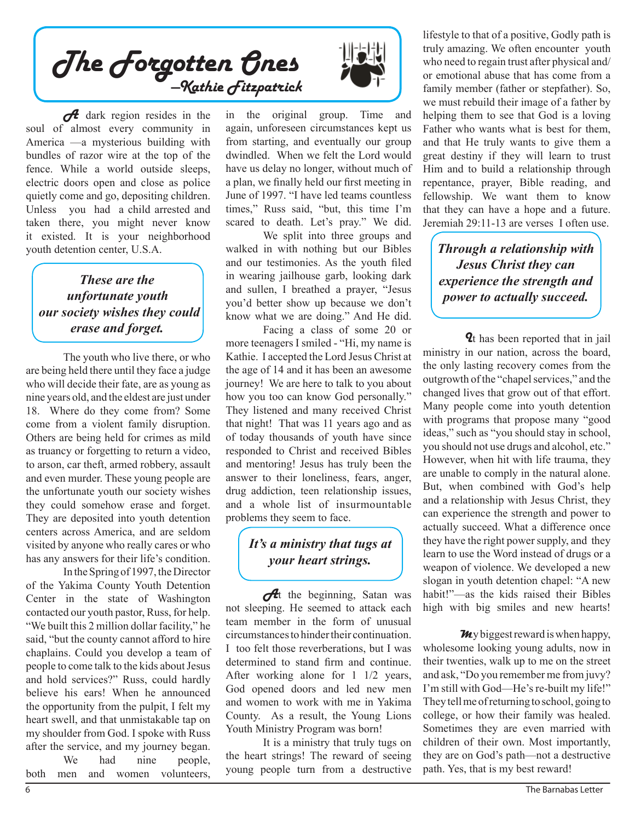The Forgotten Ones —Kathie Fitzpatrick

A dark region resides in the soul of almost every community in America —a mysterious building with bundles of razor wire at the top of the fence. While a world outside sleeps, electric doors open and close as police quietly come and go, depositing children. Unless you had a child arrested and taken there, you might never know it existed. It is your neighborhood youth detention center, U.S.A.

### *These are the unfortunate youth our society wishes they could erase and forget.*

The youth who live there, or who are being held there until they face a judge who will decide their fate, are as young as nine years old, and the eldest are just under 18. Where do they come from? Some come from a violent family disruption. Others are being held for crimes as mild as truancy or forgetting to return a video, to arson, car theft, armed robbery, assault and even murder. These young people are the unfortunate youth our society wishes they could somehow erase and forget. They are deposited into youth detention centers across America, and are seldom visited by anyone who really cares or who has any answers for their life's condition.

In the Spring of 1997, the Director of the Yakima County Youth Detention Center in the state of Washington contacted our youth pastor, Russ, for help. "We built this 2 million dollar facility," he said, "but the county cannot afford to hire chaplains. Could you develop a team of people to come talk to the kids about Jesus and hold services?" Russ, could hardly believe his ears! When he announced the opportunity from the pulpit, I felt my heart swell, and that unmistakable tap on my shoulder from God. I spoke with Russ after the service, and my journey began. We had nine people,

both men and women volunteers,



in the original group. Time and again, unforeseen circumstances kept us from starting, and eventually our group dwindled. When we felt the Lord would have us delay no longer, without much of a plan, we finally held our first meeting in June of 1997. "I have led teams countless times," Russ said, "but, this time I'm scared to death. Let's pray." We did.

We split into three groups and walked in with nothing but our Bibles and our testimonies. As the youth filed in wearing jailhouse garb, looking dark and sullen, I breathed a prayer, "Jesus you'd better show up because we don't know what we are doing." And He did.

Facing a class of some 20 or more teenagers I smiled - "Hi, my name is Kathie. I accepted the Lord Jesus Christ at the age of 14 and it has been an awesome journey! We are here to talk to you about how you too can know God personally." They listened and many received Christ that night! That was 11 years ago and as of today thousands of youth have since responded to Christ and received Bibles and mentoring! Jesus has truly been the answer to their loneliness, fears, anger, drug addiction, teen relationship issues, and a whole list of insurmountable problems they seem to face.

#### *It's a ministry that tugs at your heart strings.*

 $\partial$ t the beginning, Satan was not sleeping. He seemed to attack each team member in the form of unusual circumstances to hinder their continuation. I too felt those reverberations, but I was determined to stand firm and continue. After working alone for 1 1/2 years, God opened doors and led new men and women to work with me in Yakima County. As a result, the Young Lions Youth Ministry Program was born!

It is a ministry that truly tugs on the heart strings! The reward of seeing young people turn from a destructive

lifestyle to that of a positive, Godly path is truly amazing. We often encounter youth who need to regain trust after physical and/ or emotional abuse that has come from a family member (father or stepfather). So, we must rebuild their image of a father by helping them to see that God is a loving Father who wants what is best for them, and that He truly wants to give them a great destiny if they will learn to trust Him and to build a relationship through repentance, prayer, Bible reading, and fellowship. We want them to know that they can have a hope and a future. Jeremiah 29:11-13 are verses I often use.

*Through a relationship with Jesus Christ they can experience the strength and power to actually succeed.*

**2**t has been reported that in jail ministry in our nation, across the board, the only lasting recovery comes from the outgrowth of the "chapel services," and the changed lives that grow out of that effort. Many people come into youth detention with programs that propose many "good ideas," such as "you should stay in school, you should not use drugs and alcohol, etc." However, when hit with life trauma, they are unable to comply in the natural alone. But, when combined with God's help and a relationship with Jesus Christ, they can experience the strength and power to actually succeed. What a difference once they have the right power supply, and they learn to use the Word instead of drugs or a weapon of violence. We developed a new slogan in youth detention chapel: "A new habit!"—as the kids raised their Bibles high with big smiles and new hearts!

**M**y biggest reward is when happy, wholesome looking young adults, now in their twenties, walk up to me on the street and ask, "Do you remember me from juvy? I'm still with God—He's re-built my life!" They tell me of returning to school, going to college, or how their family was healed. Sometimes they are even married with children of their own. Most importantly, they are on God's path—not a destructive path. Yes, that is my best reward!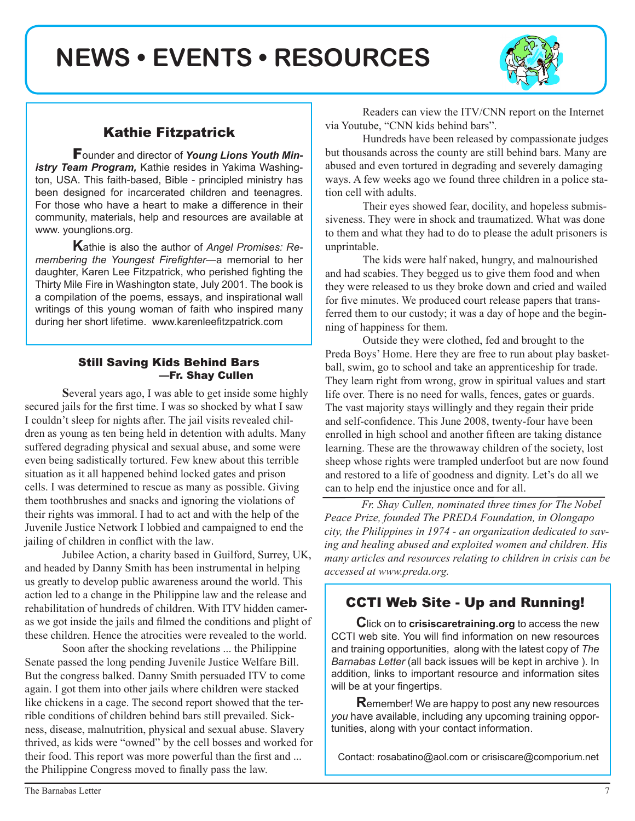**NEWS • EVENTS • RESOURCES**



## Kathie Fitzpatrick

Founder and director of *Young Lions Youth Ministry Team Program,* Kathie resides in Yakima Washington, USA. This faith-based, Bible - principled ministry has been designed for incarcerated children and teenagres. For those who have a heart to make a difference in their community, materials, help and resources are available at www. younglions.org.

**K**athie is also the author of *Angel Promises: Remembering the Youngest Firefighter—*a memorial to her daughter, Karen Lee Fitzpatrick, who perished fighting the Thirty Mile Fire in Washington state, July 2001. The book is a compilation of the poems, essays, and inspirational wall writings of this young woman of faith who inspired many during her short lifetime. www.karenleefitzpatrick.com

#### Still Saving Kids Behind Bars —Fr. Shay Cullen

**S**everal years ago, I was able to get inside some highly secured jails for the first time. I was so shocked by what I saw I couldn't sleep for nights after. The jail visits revealed children as young as ten being held in detention with adults. Many suffered degrading physical and sexual abuse, and some were even being sadistically tortured. Few knew about this terrible situation as it all happened behind locked gates and prison cells. I was determined to rescue as many as possible. Giving them toothbrushes and snacks and ignoring the violations of their rights was immoral. I had to act and with the help of the Juvenile Justice Network I lobbied and campaigned to end the jailing of children in conflict with the law.

Jubilee Action, a charity based in Guilford, Surrey, UK, and headed by Danny Smith has been instrumental in helping us greatly to develop public awareness around the world. This action led to a change in the Philippine law and the release and rehabilitation of hundreds of children. With ITV hidden cameras we got inside the jails and filmed the conditions and plight of these children. Hence the atrocities were revealed to the world.

Soon after the shocking revelations ... the Philippine Senate passed the long pending Juvenile Justice Welfare Bill. But the congress balked. Danny Smith persuaded ITV to come again. I got them into other jails where children were stacked like chickens in a cage. The second report showed that the terrible conditions of children behind bars still prevailed. Sickness, disease, malnutrition, physical and sexual abuse. Slavery thrived, as kids were "owned" by the cell bosses and worked for their food. This report was more powerful than the first and ... the Philippine Congress moved to finally pass the law.

Readers can view the ITV/CNN report on the Internet via Youtube, "CNN kids behind bars".

Hundreds have been released by compassionate judges but thousands across the county are still behind bars. Many are abused and even tortured in degrading and severely damaging ways. A few weeks ago we found three children in a police station cell with adults.

Their eyes showed fear, docility, and hopeless submissiveness. They were in shock and traumatized. What was done to them and what they had to do to please the adult prisoners is unprintable.

The kids were half naked, hungry, and malnourished and had scabies. They begged us to give them food and when they were released to us they broke down and cried and wailed for five minutes. We produced court release papers that transferred them to our custody; it was a day of hope and the beginning of happiness for them.

Outside they were clothed, fed and brought to the Preda Boys' Home. Here they are free to run about play basketball, swim, go to school and take an apprenticeship for trade. They learn right from wrong, grow in spiritual values and start life over. There is no need for walls, fences, gates or guards. The vast majority stays willingly and they regain their pride and self-confidence. This June 2008, twenty-four have been enrolled in high school and another fifteen are taking distance learning. These are the throwaway children of the society, lost sheep whose rights were trampled underfoot but are now found and restored to a life of goodness and dignity. Let's do all we can to help end the injustice once and for all.

*Fr. Shay Cullen, nominated three times for The Nobel Peace Prize, founded The PREDA Foundation, in Olongapo city, the Philippines in 1974 - an organization dedicated to saving and healing abused and exploited women and children. His many articles and resources relating to children in crisis can be accessed at www.preda.org.*

### CCTI Web Site - Up and Running!

**C**lick on to **crisiscaretraining.org** to access the new CCTI web site. You will find information on new resources and training opportunities, along with the latest copy of *The Barnabas Letter* (all back issues will be kept in archive ). In addition, links to important resource and information sites will be at your fingertips.

**R**emember! We are happy to post any new resources *you* have available, including any upcoming training opportunities, along with your contact information.

Contact: rosabatino@aol.com or crisiscare@comporium.net